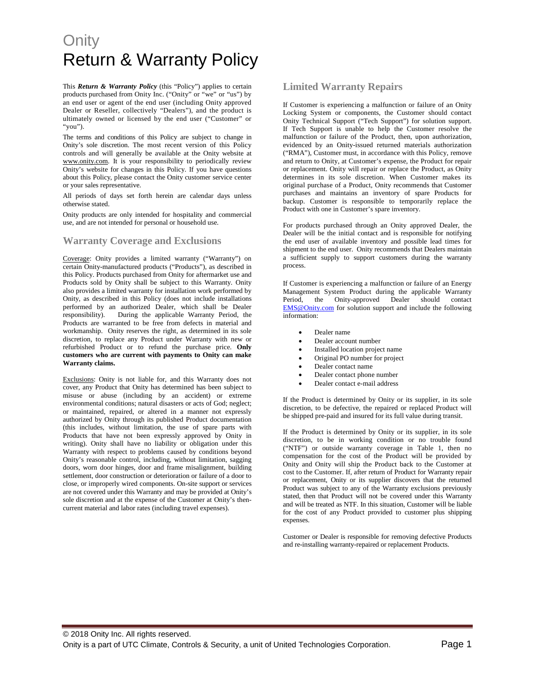This *Return & Warranty Policy* (this "Policy") applies to certain products purchased from Onity Inc. ("Onity" or "we" or "us") by an end user or agent of the end user (including Onity approved Dealer or Reseller, collectively "Dealers"), and the product is ultimately owned or licensed by the end user ("Customer" or "you").

The terms and conditions of this Policy are subject to change in Onity's sole discretion. The most recent version of this Policy controls and will generally be available at the Onity website at www.onity.com. It is your responsibility to periodically review Onity's website for changes in this Policy. If you have questions about this Policy, please contact the Onity customer service center or your sales representative.

All periods of days set forth herein are calendar days unless otherwise stated.

Onity products are only intended for hospitality and commercial use, and are not intended for personal or household use.

#### **Warranty Coverage and Exclusions**

Coverage: Onity provides a limited warranty ("Warranty") on certain Onity-manufactured products ("Products"), as described in this Policy. Products purchased from Onity for aftermarket use and Products sold by Onity shall be subject to this Warranty. Onity also provides a limited warranty for installation work performed by Onity, as described in this Policy (does not include installations performed by an authorized Dealer, which shall be Dealer responsibility). During the applicable Warranty Period, the Products are warranted to be free from defects in material and workmanship. Onity reserves the right, as determined in its sole discretion, to replace any Product under Warranty with new or refurbished Product or to refund the purchase price. **Only customers who are current with payments to Onity can make Warranty claims.**

Exclusions: Onity is not liable for, and this Warranty does not cover, any Product that Onity has determined has been subject to misuse or abuse (including by an accident) or extreme environmental conditions; natural disasters or acts of God; neglect; or maintained, repaired, or altered in a manner not expressly authorized by Onity through its published Product documentation (this includes, without limitation, the use of spare parts with Products that have not been expressly approved by Onity in writing). Onity shall have no liability or obligation under this Warranty with respect to problems caused by conditions beyond Onity's reasonable control, including, without limitation, sagging doors, worn door hinges, door and frame misalignment, building settlement, door construction or deterioration or failure of a door to close, or improperly wired components. On-site support or services are not covered under this Warranty and may be provided at Onity's sole discretion and at the expense of the Customer at Onity's thencurrent material and labor rates (including travel expenses).

#### **Limited Warranty Repairs**

If Customer is experiencing a malfunction or failure of an Onity Locking System or components, the Customer should contact Onity Technical Support ("Tech Support") for solution support. If Tech Support is unable to help the Customer resolve the malfunction or failure of the Product, then, upon authorization, evidenced by an Onity-issued returned materials authorization ("RMA"), Customer must, in accordance with this Policy, remove and return to Onity, at Customer's expense, the Product for repair or replacement. Onity will repair or replace the Product, as Onity determines in its sole discretion. When Customer makes its original purchase of a Product, Onity recommends that Customer purchases and maintains an inventory of spare Products for backup. Customer is responsible to temporarily replace the Product with one in Customer's spare inventory.

For products purchased through an Onity approved Dealer, the Dealer will be the initial contact and is responsible for notifying the end user of available inventory and possible lead times for shipment to the end user. Onity recommends that Dealers maintain a sufficient supply to support customers during the warranty process.

If Customer is experiencing a malfunction or failure of an Energy Management System Product during the applicable Warranty Period, the Onity-approved Dealer should contact EMS@Onity.com for solution support and include the following information:

- Dealer name
- Dealer account number
- Installed location project name
- Original PO number for project
- Dealer contact name
- Dealer contact phone number
- Dealer contact e-mail address

If the Product is determined by Onity or its supplier, in its sole discretion, to be defective, the repaired or replaced Product will be shipped pre-paid and insured for its full value during transit.

If the Product is determined by Onity or its supplier, in its sole discretion, to be in working condition or no trouble found ("NTF") or outside warranty coverage in Table 1, then no compensation for the cost of the Product will be provided by Onity and Onity will ship the Product back to the Customer at cost to the Customer. If, after return of Product for Warranty repair or replacement, Onity or its supplier discovers that the returned Product was subject to any of the Warranty exclusions previously stated, then that Product will not be covered under this Warranty and will be treated as NTF. In this situation, Customer will be liable for the cost of any Product provided to customer plus shipping expenses.

Customer or Dealer is responsible for removing defective Products and re-installing warranty-repaired or replacement Products.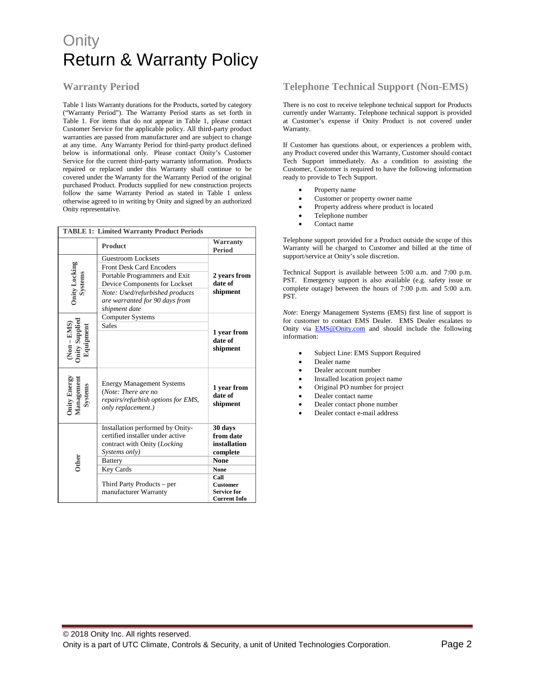### **Warranty Period**

Table 1 lists Warranty durations for the Products, sorted by category ("Warranty Period"). The Warranty Period starts as set forth in Table 1. For items that do not appear in Table 1, please contact Customer Service for the applicable policy. All third-party product warranties are passed from manufacturer and are subject to change at any time. Any Warranty Period for third-party product defined below is informational only. Please contact Onity's Customer Service for the current third-party warranty information. Products repaired or replaced under this Warranty shall continue to be covered under the Warranty for the Warranty Period of the original purchased Product. Products supplied for new construction projects follow the same Warranty Period as stated in Table 1 unless otherwise agreed to in writing by Onity and signed by an authorized Onity representative.

| <b>TABLE 1: Limited Warranty Product Periods</b> |                                                                                                                                                                                                               |                                                                                                                                                        |
|--------------------------------------------------|---------------------------------------------------------------------------------------------------------------------------------------------------------------------------------------------------------------|--------------------------------------------------------------------------------------------------------------------------------------------------------|
|                                                  | <b>Product</b>                                                                                                                                                                                                | <b>Warranty</b><br><b>Period</b>                                                                                                                       |
| Onity Locking<br>Systems                         | Guestroom Locksets<br><b>Front Desk Card Encoders</b><br>Portable Programmers and Exit<br>Device Components for Lockset<br>Note: Used/refurbished products<br>are warranted for 90 days from<br>shipment date | 2 vears from<br>date of<br>shipment                                                                                                                    |
| quipmen                                          | <b>Computer Systems</b><br><b>Safes</b>                                                                                                                                                                       | 1 year from<br>date of<br>shipment                                                                                                                     |
| mity Energ<br><b>Aanageme</b><br>Systems         | <b>Energy Management Systems</b><br>(Note: There are no<br>repairs/refurbish options for EMS,<br>only replacement.)                                                                                           | 1 year from<br>date of<br>shipment                                                                                                                     |
|                                                  | Installation performed by Onity-<br>certified installer under active<br>contract with Onity (Locking<br>Systems only)<br><b>Battery</b><br>Key Cards<br>Third Party Products – per<br>manufacturer Warranty   | 30 days<br>from date<br>installation<br>complete<br><b>None</b><br><b>None</b><br>Call<br><b>Customer</b><br><b>Service for</b><br><b>Current Info</b> |

## **Telephone Technical Support (Non-EMS)**

There is no cost to receive telephone technical support for Products currently under Warranty. Telephone technical support is provided at Customer's expense if Onity Product is not covered under Warranty.

If Customer has questions about, or experiences a problem with, any Product covered under this Warranty, Customer should contact Tech Support immediately. As a condition to assisting the Customer, Customer is required to have the following information ready to provide to Tech Support.

- Property name
- Customer or property owner name
- Property address where product is located
- Telephone number
- Contact name

Telephone support provided for a Product outside the scope of this Warranty will be charged to Customer and billed at the time of support/service at Onity's sole discretion.

Technical Support is available between 5:00 a.m. and 7:00 p.m. PST. Emergency support is also available (e.g. safety issue or complete outage) between the hours of 7:00 p.m. and 5:00 a.m. PST.

*Note*: Energy Management Systems (EMS) first line of support is for customer to contact EMS Dealer. EMS Dealer escalates to Onity via **EMS@Onity.com** and should include the following information:

- Subject Line: EMS Support Required
- Dealer name
- Dealer account number
- Installed location project name
- Original PO number for project
- Dealer contact name
- Dealer contact phone number
- Dealer contact e-mail address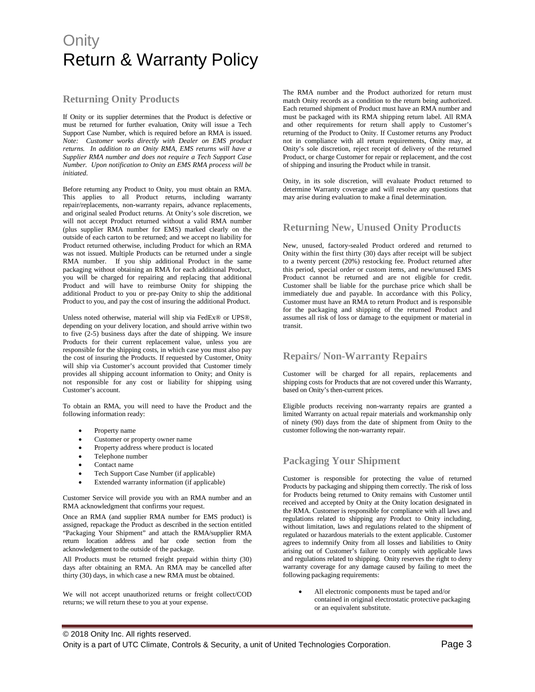### **Returning Onity Products**

If Onity or its supplier determines that the Product is defective or must be returned for further evaluation, Onity will issue a Tech Support Case Number, which is required before an RMA is issued. *Note: Customer works directly with Dealer on EMS product returns. In addition to an Onity RMA, EMS returns will have a Supplier RMA number and does not require a Tech Support Case Number. Upon notification to Onity an EMS RMA process will be initiated.* 

Before returning any Product to Onity, you must obtain an RMA. This applies to all Product returns, including warranty repair/replacements, non-warranty repairs, advance replacements, and original sealed Product returns. At Onity's sole discretion, we will not accept Product returned without a valid RMA number (plus supplier RMA number for EMS) marked clearly on the outside of each carton to be returned; and we accept no liability for Product returned otherwise, including Product for which an RMA was not issued. Multiple Products can be returned under a single RMA number. If you ship additional Product in the same packaging without obtaining an RMA for each additional Product, you will be charged for repairing and replacing that additional Product and will have to reimburse Onity for shipping the additional Product to you or pre-pay Onity to ship the additional Product to you, and pay the cost of insuring the additional Product.

Unless noted otherwise, material will ship via FedEx® or UPS®, depending on your delivery location, and should arrive within two to five (2-5) business days after the date of shipping. We insure Products for their current replacement value, unless you are responsible for the shipping costs, in which case you must also pay the cost of insuring the Products. If requested by Customer, Onity will ship via Customer's account provided that Customer timely provides all shipping account information to Onity; and Onity is not responsible for any cost or liability for shipping using Customer's account.

To obtain an RMA, you will need to have the Product and the following information ready:

- Property name
- Customer or property owner name
- Property address where product is located
- Telephone number
- Contact name
- Tech Support Case Number (if applicable)
- Extended warranty information (if applicable)

Customer Service will provide you with an RMA number and an RMA acknowledgment that confirms your request.

Once an RMA (and supplier RMA number for EMS product) is assigned, repackage the Product as described in the section entitled "Packaging Your Shipment" and attach the RMA/supplier RMA return location address and bar code section from the acknowledgement to the outside of the package.

All Products must be returned freight prepaid within thirty (30) days after obtaining an RMA. An RMA may be cancelled after thirty (30) days, in which case a new RMA must be obtained.

We will not accept unauthorized returns or freight collect/COD returns; we will return these to you at your expense.

The RMA number and the Product authorized for return must match Onity records as a condition to the return being authorized. Each returned shipment of Product must have an RMA number and must be packaged with its RMA shipping return label. All RMA and other requirements for return shall apply to Customer's returning of the Product to Onity. If Customer returns any Product not in compliance with all return requirements, Onity may, at Onity's sole discretion, reject receipt of delivery of the returned Product, or charge Customer for repair or replacement, and the cost of shipping and insuring the Product while in transit.

Onity, in its sole discretion, will evaluate Product returned to determine Warranty coverage and will resolve any questions that may arise during evaluation to make a final determination.

#### **Returning New, Unused Onity Products**

New, unused, factory-sealed Product ordered and returned to Onity within the first thirty (30) days after receipt will be subject to a twenty percent (20%) restocking fee. Product returned after this period, special order or custom items, and new/unused EMS Product cannot be returned and are not eligible for credit. Customer shall be liable for the purchase price which shall be immediately due and payable. In accordance with this Policy, Customer must have an RMA to return Product and is responsible for the packaging and shipping of the returned Product and assumes all risk of loss or damage to the equipment or material in transit.

### **Repairs/ Non-Warranty Repairs**

Customer will be charged for all repairs, replacements and shipping costs for Products that are not covered under this Warranty, based on Onity's then-current prices.

Eligible products receiving non-warranty repairs are granted a limited Warranty on actual repair materials and workmanship only of ninety (90) days from the date of shipment from Onity to the customer following the non-warranty repair.

### **Packaging Your Shipment**

Customer is responsible for protecting the value of returned Products by packaging and shipping them correctly. The risk of loss for Products being returned to Onity remains with Customer until received and accepted by Onity at the Onity location designated in the RMA. Customer is responsible for compliance with all laws and regulations related to shipping any Product to Onity including, without limitation, laws and regulations related to the shipment of regulated or hazardous materials to the extent applicable. Customer agrees to indemnify Onity from all losses and liabilities to Onity arising out of Customer's failure to comply with applicable laws and regulations related to shipping. Onity reserves the right to deny warranty coverage for any damage caused by failing to meet the following packaging requirements:

All electronic components must be taped and/or contained in original electrostatic protective packaging or an equivalent substitute.

#### © 2018 Onity Inc. All rights reserved.